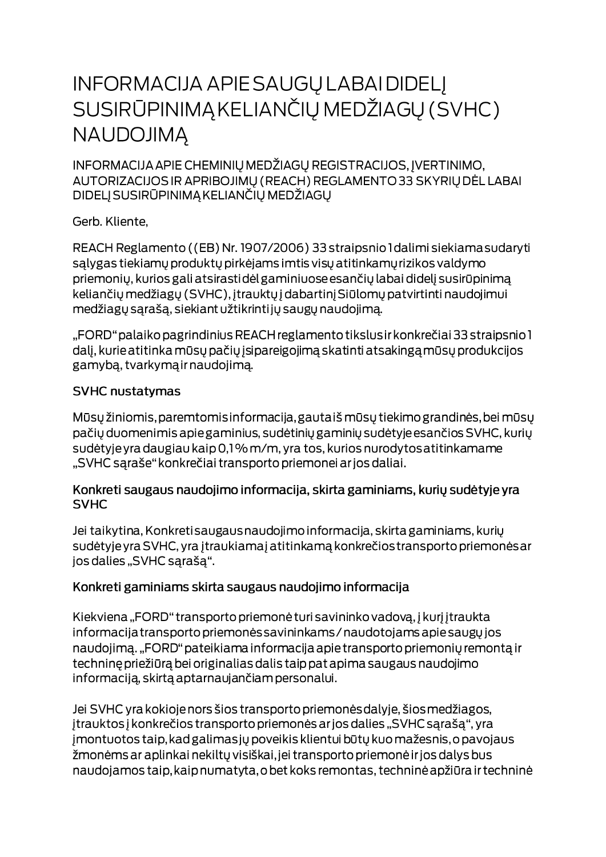# **INFORMACIJA APIE SAUGŲ LABAI DIDELĮ** SUSIRŪPINIMĄ KELIANČIŲ MEDŽIAGŲ (SVHC) **NAUDOJIMA**

INFORMACIJA APIE CHEMINIŲ MEDŽIAGŲ REGISTRACIJOS, ĮVERTINIMO, AUTORIZACIJOS IR APRIBOJIMŲ (REACH) REGLAMENTO 33 SKYRIŲ DĖL LABAI DIDELJ SUSIRŪPINIMĄ KELIANČIŲ MEDŽIAGŲ

Gerb. Kliente,

REACH Reglamento ((EB) Nr. 1907/2006) 33 straipsnio I dalimi siekiama sudaryti salygas tiekiamų produktų pirkėjams imtis visų atitinkamų rizikos valdymo priemonių, kurios gali atsirastidėl gaminiuose esančių labai didelį susirūpinimą keliančių medžiagų (SVHC), įtrauktų į dabartinį Siūlomų patvirtinti naudojimui medžiagų sąrašą, siekiant užtikrintijų saugų naudojimą.

"FORD" palaiko pagrindinius REACH reglamento tikslus ir konkrečiai 33 straipsnio 1 dalį, kurie atitinka mūsų pačių įsipareigojimą skatinti atsakingą mūsų produkcijos gamybą, tvarkymą ir naudojimą.

#### **SVHC nustatymas**

Mūsų žiniomis, paremtomis informacija, gautaiš mūsų tiekimo grandinės, bei mūsų pačių duomenimis apie gaminius, sudėtinių gaminių sudėtyje esančios SVHC, kurių sudėtyje yra daugiau kaip 0,1% m/m, yra tos, kurios nurodytos atitinkamame "SVHC sąraše" konkrečiai transporto priemonei ar jos daliai.

#### Konkreti saugaus naudojimo informacija, skirta gaminiams, kurių sudėtyje yra **SVHC**

Jei taikytina, Konkreti saugaus naudojimo informacija, skirta gaminiams, kurių sudėtyje yra SVHC, yra įtraukiamaj atitinkamą konkrečios transporto priemonės ar jos dalies "SVHC sąrašą".

### Konkreti gaminiams skirta saugaus naudojimo informacija

Kiekviena "FORD" transporto priemonė turi savininko vadovą, į kurį įtraukta informacija transporto priemonės savininkams / naudotojams apie saugų jos naudojimą. "FORD" pateikiama informacija apie transporto priemonių remontą ir techninę priežiūrą bei originalias dalis taip pat apima saugaus naudojimo informaciją, skirtą aptarnaujančiam personalui.

Jei SVHC yra kokioje nors šios transporto priemonės dalyje, šios medžiagos, įtrauktos į konkrečios transporto priemonės ar jos dalies "SVHC sąrašą", yra jmontuotos taip, kad galimas jų poveikis klientui būtų kuo mažesnis, o pavojaus žmonėms ar aplinkai nekiltų visiškai, jei transporto priemonė ir jos dalys bus naudojamos taip, kaip numatyta, o bet koks remontas, techninė apžiūra ir techninė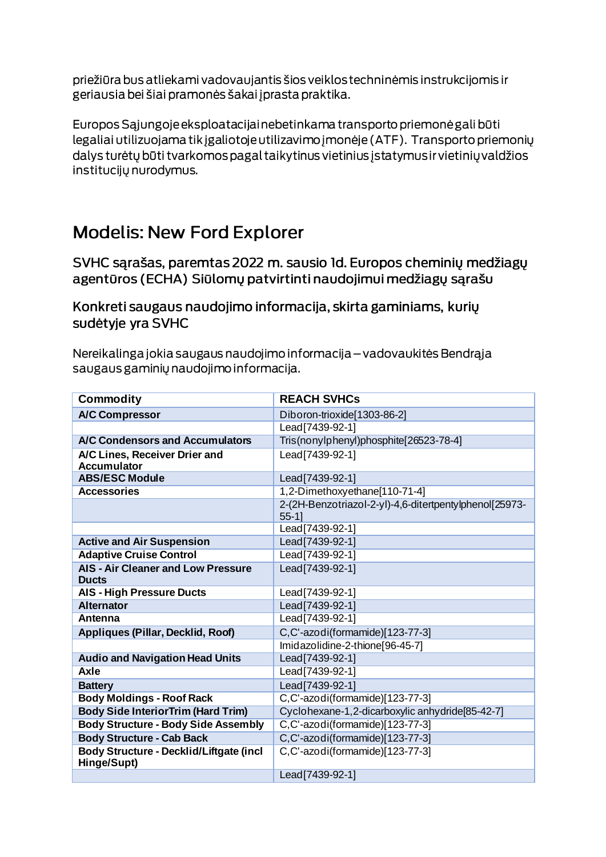priežiūra bus atliekami vadovaujantis šios veiklos techninėmis instrukcijomis ir geriausia bei šiai pramonės šakai į prasta praktika.

Europos Sąjungoje eksploatacijai nebetinkama transporto priemonė gali būti legaliai utilizuojama tik įgaliotoje utilizavimo įmonėje (ATF). Transporto priemonių dalys turėtų būti tvarkomos pagal taikytinus vietinius įstatymus ir vietinių valdžios institucijų nurodymus.

## **Modelis: New Ford Explorer**

SVHC sarašas, paremtas 2022 m. sausio Id. Europos cheminių medžiagų agentūros (ECHA) Siūlomų patvirtinti naudojimui medžiagų sąrašu

Konkreti saugaus naudojimo informacija, skirta gaminiams, kurių sudėtyje yra SVHC

Nereikalinga jokia saugaus naudojimo informacija – vadovaukitės Bendrąja saugaus gaminių naudojimo informacija.

| <b>Commodity</b>                                          | <b>REACH SVHCs</b>                                               |
|-----------------------------------------------------------|------------------------------------------------------------------|
| <b>A/C Compressor</b>                                     | Diboron-trioxide[1303-86-2]                                      |
|                                                           | Lead[7439-92-1]                                                  |
| A/C Condensors and Accumulators                           | Tris(nonylphenyl)phosphite[26523-78-4]                           |
| A/C Lines, Receiver Drier and                             | Lead[7439-92-1]                                                  |
| <b>Accumulator</b>                                        |                                                                  |
| <b>ABS/ESC Module</b>                                     | Lead[7439-92-1]                                                  |
| <b>Accessories</b>                                        | 1,2-Dimethoxyethane[110-71-4]                                    |
|                                                           | 2-(2H-Benzotriazol-2-yl)-4,6-ditertpentylphenol[25973-<br>$55-1$ |
|                                                           | Lead[7439-92-1]                                                  |
| <b>Active and Air Suspension</b>                          | Lead[7439-92-1]                                                  |
| <b>Adaptive Cruise Control</b>                            | Lead[7439-92-1]                                                  |
| <b>AIS - Air Cleaner and Low Pressure</b><br><b>Ducts</b> | Lead[7439-92-1]                                                  |
| <b>AIS - High Pressure Ducts</b>                          | Lead[7439-92-1]                                                  |
| <b>Alternator</b>                                         | Lead[7439-92-1]                                                  |
| Antenna                                                   | Lead [7439-92-1]                                                 |
| Appliques (Pillar, Decklid, Roof)                         | C,C'-azodi(formamide)[123-77-3]                                  |
|                                                           | Imidazolidine-2-thione[96-45-7]                                  |
| <b>Audio and Navigation Head Units</b>                    | Lead[7439-92-1]                                                  |
| Axle                                                      | Lead [7439-92-1]                                                 |
| <b>Battery</b>                                            | Lead[7439-92-1]                                                  |
| <b>Body Moldings - Roof Rack</b>                          | C,C'-azodi(formamide)[123-77-3]                                  |
| <b>Body Side InteriorTrim (Hard Trim)</b>                 | Cyclohexane-1,2-dicarboxylic anhydride[85-42-7]                  |
| <b>Body Structure - Body Side Assembly</b>                | C,C'-azodi(formamide)[123-77-3]                                  |
| <b>Body Structure - Cab Back</b>                          | C,C'-azodi(formamide)[123-77-3]                                  |
| Body Structure - Decklid/Liftgate (incl<br>Hinge/Supt)    | C,C'-azodi(formamide)[123-77-3]                                  |
|                                                           | Lead[7439-92-1]                                                  |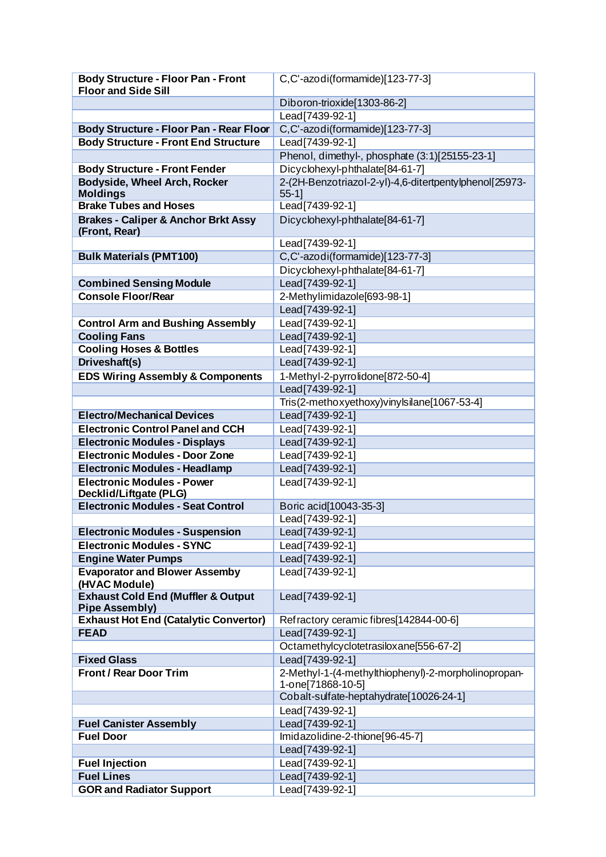| <b>Body Structure - Floor Pan - Front</b>      | C,C'-azodi(formamide)[123-77-3]                        |
|------------------------------------------------|--------------------------------------------------------|
| <b>Floor and Side Sill</b>                     |                                                        |
|                                                | Diboron-trioxide[1303-86-2]                            |
|                                                | Lead[7439-92-1]                                        |
| Body Structure - Floor Pan - Rear Floor        | C,C'-azodi(formamide)[123-77-3]                        |
| <b>Body Structure - Front End Structure</b>    | Lead[7439-92-1]                                        |
|                                                | Phenol, dimethyl-, phosphate (3:1)[25155-23-1]         |
| <b>Body Structure - Front Fender</b>           | Dicyclohexyl-phthalate[84-61-7]                        |
| <b>Bodyside, Wheel Arch, Rocker</b>            | 2-(2H-Benzotriazol-2-yl)-4,6-ditertpentylphenol[25973- |
| <b>Moldings</b>                                | $55-1$                                                 |
| <b>Brake Tubes and Hoses</b>                   | Lead[7439-92-1]                                        |
| <b>Brakes - Caliper &amp; Anchor Brkt Assy</b> | Dicyclohexyl-phthalate[84-61-7]                        |
| (Front, Rear)                                  |                                                        |
|                                                | Lead[7439-92-1]                                        |
| <b>Bulk Materials (PMT100)</b>                 | C,C'-azodi(formamide)[123-77-3]                        |
|                                                | Dicyclohexyl-phthalate[84-61-7]                        |
| <b>Combined Sensing Module</b>                 | Lead[7439-92-1]                                        |
| <b>Console Floor/Rear</b>                      | 2-Methylimidazole[693-98-1]                            |
|                                                | Lead[7439-92-1]                                        |
| <b>Control Arm and Bushing Assembly</b>        | Lead[7439-92-1]                                        |
| <b>Cooling Fans</b>                            | Lead[7439-92-1]                                        |
| <b>Cooling Hoses &amp; Bottles</b>             | Lead [7439-92-1]                                       |
| Driveshaft(s)                                  | Lead[7439-92-1]                                        |
| <b>EDS Wiring Assembly &amp; Components</b>    | 1-Methyl-2-pyrrolidone[872-50-4]                       |
|                                                | Lead[7439-92-1]                                        |
|                                                | Tris(2-methoxyethoxy)vinylsilane[1067-53-4]            |
| <b>Electro/Mechanical Devices</b>              | Lead[7439-92-1]                                        |
| <b>Electronic Control Panel and CCH</b>        | Lead[7439-92-1]                                        |
| <b>Electronic Modules - Displays</b>           | Lead[7439-92-1]                                        |
| <b>Electronic Modules - Door Zone</b>          | Lead[7439-92-1]                                        |
| <b>Electronic Modules - Headlamp</b>           | Lead[7439-92-1]                                        |
| <b>Electronic Modules - Power</b>              | Lead[7439-92-1]                                        |
| Decklid/Liftgate (PLG)                         |                                                        |
| <b>Electronic Modules - Seat Control</b>       | Boric acid[10043-35-3]                                 |
|                                                | Lead [7439-92-1]                                       |
| <b>Electronic Modules - Suspension</b>         | Lead[7439-92-1]                                        |
| <b>Electronic Modules - SYNC</b>               | Lead[7439-92-1]                                        |
| <b>Engine Water Pumps</b>                      | Lead[7439-92-1]                                        |
| <b>Evaporator and Blower Assemby</b>           | Lead [7439-92-1]                                       |
| (HVAC Module)                                  |                                                        |
| <b>Exhaust Cold End (Muffler &amp; Output</b>  | Lead[7439-92-1]                                        |
| <b>Pipe Assembly)</b>                          |                                                        |
| <b>Exhaust Hot End (Catalytic Convertor)</b>   | Refractory ceramic fibres[142844-00-6]                 |
| <b>FEAD</b>                                    | Lead[7439-92-1]                                        |
|                                                | Octamethylcyclotetrasiloxane[556-67-2]                 |
| <b>Fixed Glass</b>                             | Lead[7439-92-1]                                        |
| <b>Front / Rear Door Trim</b>                  | 2-Methyl-1-(4-methylthiophenyl)-2-morpholinopropan-    |
|                                                | 1-one[71868-10-5]                                      |
|                                                | Cobalt-sulfate-heptahydrate[10026-24-1]                |
|                                                | Lead[7439-92-1]                                        |
| <b>Fuel Canister Assembly</b>                  | Lead[7439-92-1]                                        |
| <b>Fuel Door</b>                               | Imidazolidine-2-thione[96-45-7]                        |
|                                                | Lead[7439-92-1]                                        |
| <b>Fuel Injection</b>                          | Lead[7439-92-1]                                        |
| <b>Fuel Lines</b>                              | Lead[7439-92-1]                                        |
| <b>GOR and Radiator Support</b>                | Lead <sup>[7439-92-1]</sup>                            |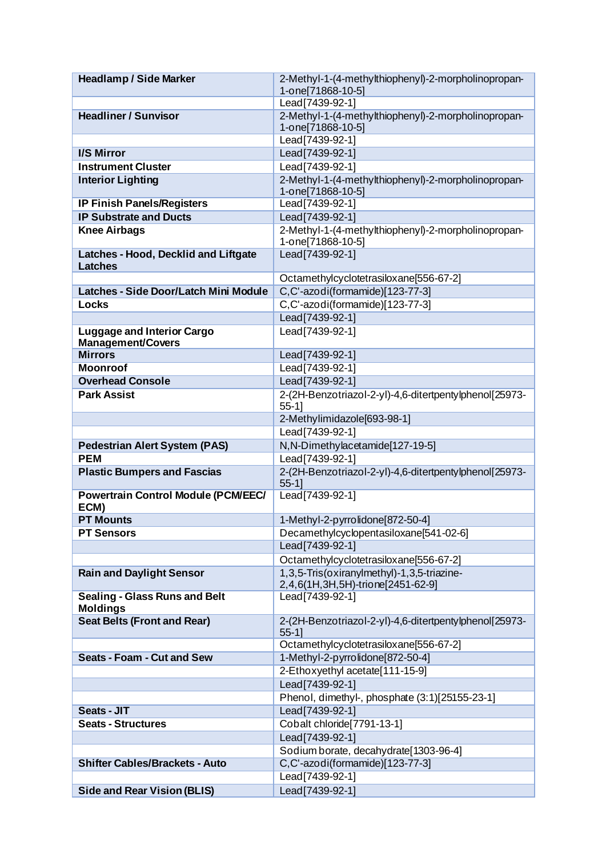| <b>Headlamp / Side Marker</b>              | 2-Methyl-1-(4-methylthiophenyl)-2-morpholinopropan-                                  |
|--------------------------------------------|--------------------------------------------------------------------------------------|
|                                            | 1-one[71868-10-5]                                                                    |
|                                            | Lead[7439-92-1]                                                                      |
| <b>Headliner / Sunvisor</b>                | 2-Methyl-1-(4-methylthiophenyl)-2-morpholinopropan-                                  |
|                                            | 1-one[71868-10-5]                                                                    |
|                                            | Lead[7439-92-1]                                                                      |
| <b>I/S Mirror</b>                          | Lead[7439-92-1]                                                                      |
| <b>Instrument Cluster</b>                  | Lead[7439-92-1]                                                                      |
| <b>Interior Lighting</b>                   | 2-Methyl-1-(4-methylthiophenyl)-2-morpholinopropan-                                  |
|                                            | 1-one[71868-10-5]                                                                    |
| <b>IP Finish Panels/Registers</b>          | Lead[7439-92-1]                                                                      |
| <b>IP Substrate and Ducts</b>              | Lead[7439-92-1]                                                                      |
| <b>Knee Airbags</b>                        | 2-Methyl-1-(4-methylthiophenyl)-2-morpholinopropan-                                  |
| Latches - Hood, Decklid and Liftgate       | 1-one[71868-10-5]<br>Lead[7439-92-1]                                                 |
| <b>Latches</b>                             |                                                                                      |
|                                            | Octamethylcyclotetrasiloxane[556-67-2]                                               |
| Latches - Side Door/Latch Mini Module      | C,C'-azodi(formamide)[123-77-3]                                                      |
| <b>Locks</b>                               | C,C'-azodi(formamide)[123-77-3]                                                      |
|                                            | Lead[7439-92-1]                                                                      |
| <b>Luggage and Interior Cargo</b>          | Lead[7439-92-1]                                                                      |
| <b>Management/Covers</b>                   |                                                                                      |
| <b>Mirrors</b>                             | Lead[7439-92-1]                                                                      |
| <b>Moonroof</b>                            | Lead [7439-92-1]                                                                     |
| <b>Overhead Console</b>                    | Lead[7439-92-1]                                                                      |
| <b>Park Assist</b>                         | 2-(2H-Benzotriazol-2-yl)-4,6-ditertpentylphenol[25973-                               |
|                                            | $55-1$ ]                                                                             |
|                                            | 2-Methylimidazole[693-98-1]                                                          |
|                                            | Lead[7439-92-1]                                                                      |
| <b>Pedestrian Alert System (PAS)</b>       | N, N-Dimethylacetamide[127-19-5]                                                     |
| <b>PEM</b>                                 | Lead[7439-92-1]                                                                      |
| <b>Plastic Bumpers and Fascias</b>         | 2-(2H-Benzotriazol-2-yl)-4,6-ditertpentylphenol[25973-                               |
|                                            | $55-11$                                                                              |
| <b>Powertrain Control Module (PCM/EEC/</b> | Lead [7439-92-1]                                                                     |
| ECM)<br><b>PT Mounts</b>                   |                                                                                      |
|                                            | 1-Methyl-2-pyrrolidone[872-50-4]                                                     |
| <b>PT Sensors</b>                          | Decamethylcyclopentasiloxane[541-02-6]<br>Lead[7439-92-1]                            |
|                                            |                                                                                      |
|                                            | Octamethylcyclotetrasiloxane[556-67-2]<br>1,3,5-Tris(oxiranylmethyl)-1,3,5-triazine- |
| <b>Rain and Daylight Sensor</b>            | 2,4,6(1H,3H,5H)-trione[2451-62-9]                                                    |
| <b>Sealing - Glass Runs and Belt</b>       | Lead[7439-92-1]                                                                      |
| <b>Moldings</b>                            |                                                                                      |
| <b>Seat Belts (Front and Rear)</b>         | 2-(2H-Benzotriazol-2-yl)-4,6-ditertpentylphenol[25973-                               |
|                                            | $55-11$                                                                              |
|                                            | Octamethylcyclotetrasiloxane[556-67-2]                                               |
| <b>Seats - Foam - Cut and Sew</b>          | 1-Methyl-2-pyrrolidone[872-50-4]                                                     |
|                                            | 2-Ethoxyethyl acetate[111-15-9]                                                      |
|                                            | Lead[7439-92-1]                                                                      |
|                                            | Phenol, dimethyl-, phosphate (3:1)[25155-23-1]                                       |
| Seats - JIT                                | Lead[7439-92-1]                                                                      |
| <b>Seats - Structures</b>                  | Cobalt chloride[7791-13-1]                                                           |
|                                            | Lead[7439-92-1]                                                                      |
|                                            | Sodium borate, decahydrate [1303-96-4]                                               |
| <b>Shifter Cables/Brackets - Auto</b>      | C,C'-azodi(formamide)[123-77-3]                                                      |
|                                            | Lead[7439-92-1]                                                                      |
| <b>Side and Rear Vision (BLIS)</b>         | Lead[7439-92-1]                                                                      |